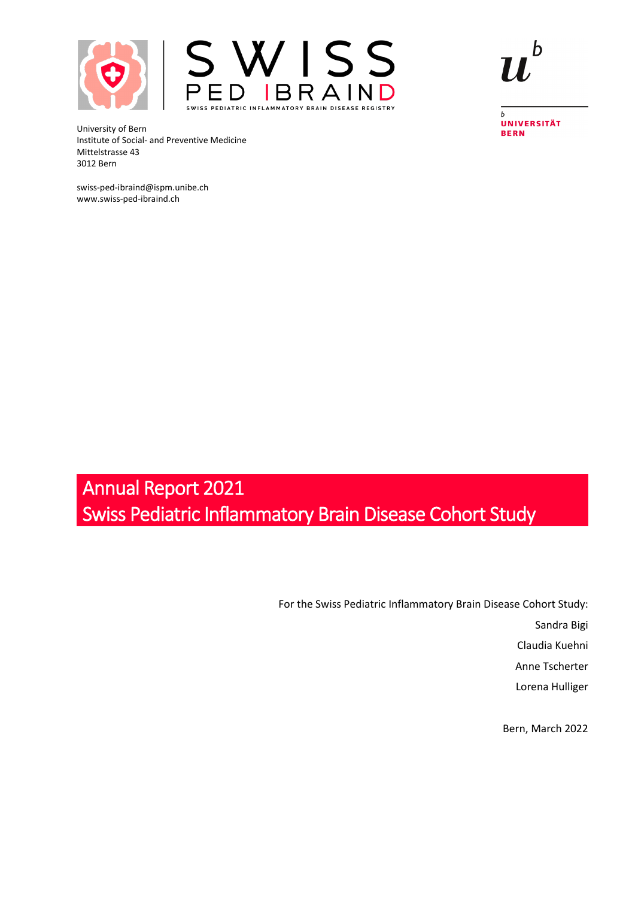



University of Bern Institute of Social- and Preventive Medicine Mittelstrasse 43 3012 Bern

swiss-ped-ibraind@ispm.unibe.ch www.swiss-ped-ibraind.ch

 $\overline{b}$ **UNIVERSITÄT BERN** 

# Annual Report 2021 Swiss Pediatric Inflammatory Brain Disease Cohort Study

For the Swiss Pediatric Inflammatory Brain Disease Cohort Study:

Sandra Bigi

Claudia Kuehni

Anne Tscherter

Lorena Hulliger

Bern, March 2022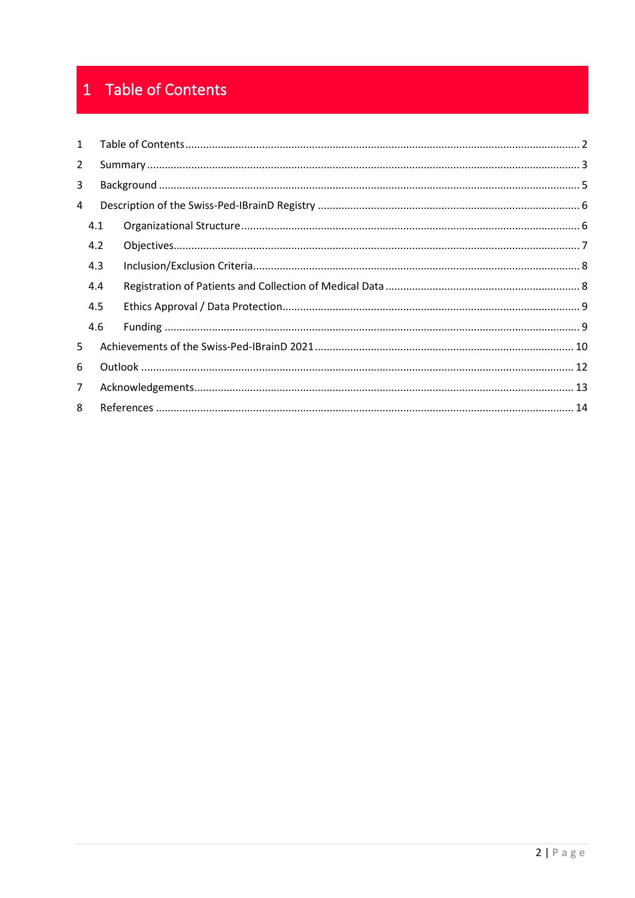## <span id="page-1-0"></span>1 Table of Contents

| $\mathbf{1}$   |     |  |  |
|----------------|-----|--|--|
| $\overline{2}$ |     |  |  |
| 3              |     |  |  |
| 4              |     |  |  |
|                | 4.1 |  |  |
|                | 4.2 |  |  |
|                | 4.3 |  |  |
|                | 4.4 |  |  |
|                | 4.5 |  |  |
|                | 4.6 |  |  |
| 5              |     |  |  |
| 6              |     |  |  |
| $\overline{7}$ |     |  |  |
| 8              |     |  |  |
|                |     |  |  |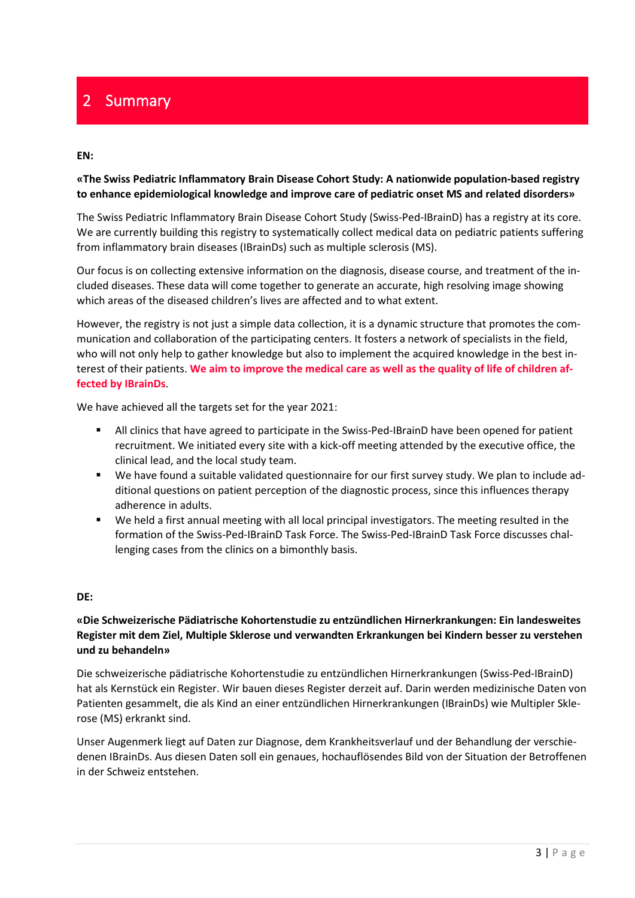## <span id="page-2-0"></span>2 Summary

#### **EN:**

### **«The Swiss Pediatric Inflammatory Brain Disease Cohort Study: A nationwide population-based registry to enhance epidemiological knowledge and improve care of pediatric onset MS and related disorders»**

The Swiss Pediatric Inflammatory Brain Disease Cohort Study (Swiss-Ped-IBrainD) has a registry at its core. We are currently building this registry to systematically collect medical data on pediatric patients suffering from inflammatory brain diseases (IBrainDs) such as multiple sclerosis (MS).

Our focus is on collecting extensive information on the diagnosis, disease course, and treatment of the included diseases. These data will come together to generate an accurate, high resolving image showing which areas of the diseased children's lives are affected and to what extent.

However, the registry is not just a simple data collection, it is a dynamic structure that promotes the communication and collaboration of the participating centers. It fosters a network of specialists in the field, who will not only help to gather knowledge but also to implement the acquired knowledge in the best interest of their patients. **We aim to improve the medical care as well as the quality of life of children affected by IBrainDs**.

We have achieved all the targets set for the year 2021:

- All clinics that have agreed to participate in the Swiss-Ped-IBrainD have been opened for patient recruitment. We initiated every site with a kick-off meeting attended by the executive office, the clinical lead, and the local study team.
- We have found a suitable validated questionnaire for our first survey study. We plan to include additional questions on patient perception of the diagnostic process, since this influences therapy adherence in adults.
- We held a first annual meeting with all local principal investigators. The meeting resulted in the formation of the Swiss-Ped-IBrainD Task Force. The Swiss-Ped-IBrainD Task Force discusses challenging cases from the clinics on a bimonthly basis.

#### **DE:**

### **«Die Schweizerische Pädiatrische Kohortenstudie zu entzündlichen Hirnerkrankungen: Ein landesweites Register mit dem Ziel, Multiple Sklerose und verwandten Erkrankungen bei Kindern besser zu verstehen und zu behandeln»**

Die schweizerische pädiatrische Kohortenstudie zu entzündlichen Hirnerkrankungen (Swiss-Ped-IBrainD) hat als Kernstück ein Register. Wir bauen dieses Register derzeit auf. Darin werden medizinische Daten von Patienten gesammelt, die als Kind an einer entzündlichen Hirnerkrankungen (IBrainDs) wie Multipler Sklerose (MS) erkrankt sind.

Unser Augenmerk liegt auf Daten zur Diagnose, dem Krankheitsverlauf und der Behandlung der verschiedenen IBrainDs. Aus diesen Daten soll ein genaues, hochauflösendes Bild von der Situation der Betroffenen in der Schweiz entstehen.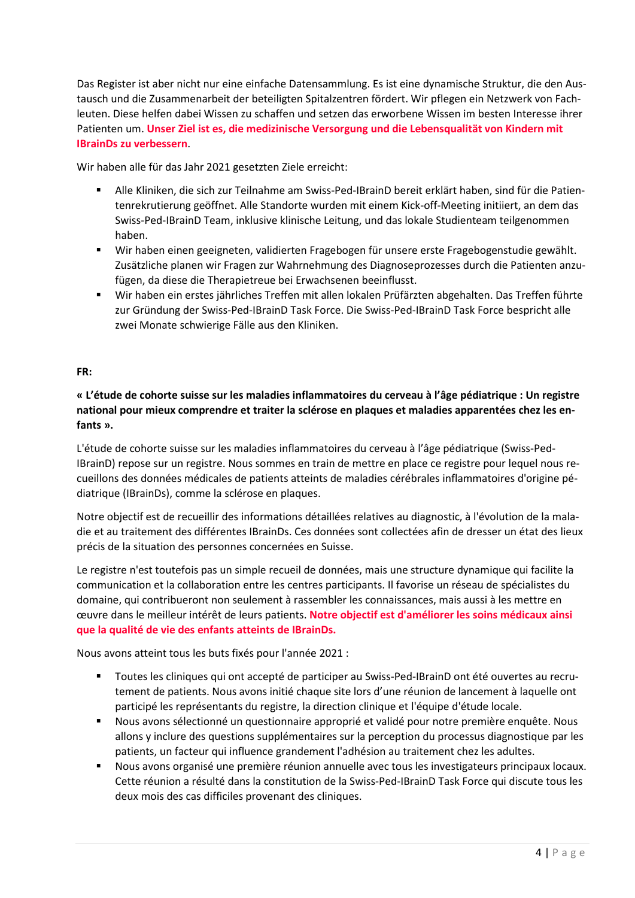Das Register ist aber nicht nur eine einfache Datensammlung. Es ist eine dynamische Struktur, die den Austausch und die Zusammenarbeit der beteiligten Spitalzentren fördert. Wir pflegen ein Netzwerk von Fachleuten. Diese helfen dabei Wissen zu schaffen und setzen das erworbene Wissen im besten Interesse ihrer Patienten um. **Unser Ziel ist es, die medizinische Versorgung und die Lebensqualität von Kindern mit IBrainDs zu verbessern**.

Wir haben alle für das Jahr 2021 gesetzten Ziele erreicht:

- Alle Kliniken, die sich zur Teilnahme am Swiss-Ped-IBrainD bereit erklärt haben, sind für die Patientenrekrutierung geöffnet. Alle Standorte wurden mit einem Kick-off-Meeting initiiert, an dem das Swiss-Ped-IBrainD Team, inklusive klinische Leitung, und das lokale Studienteam teilgenommen haben.
- Wir haben einen geeigneten, validierten Fragebogen für unsere erste Fragebogenstudie gewählt. Zusätzliche planen wir Fragen zur Wahrnehmung des Diagnoseprozesses durch die Patienten anzufügen, da diese die Therapietreue bei Erwachsenen beeinflusst.
- Wir haben ein erstes jährliches Treffen mit allen lokalen Prüfärzten abgehalten. Das Treffen führte zur Gründung der Swiss-Ped-IBrainD Task Force. Die Swiss-Ped-IBrainD Task Force bespricht alle zwei Monate schwierige Fälle aus den Kliniken.

### **FR:**

**« L'étude de cohorte suisse sur les maladies inflammatoires du cerveau à l'âge pédiatrique : Un registre national pour mieux comprendre et traiter la sclérose en plaques et maladies apparentées chez les enfants ».**

L'étude de cohorte suisse sur les maladies inflammatoires du cerveau à l'âge pédiatrique (Swiss-Ped-IBrainD) repose sur un registre. Nous sommes en train de mettre en place ce registre pour lequel nous recueillons des données médicales de patients atteints de maladies cérébrales inflammatoires d'origine pédiatrique (IBrainDs), comme la sclérose en plaques.

Notre objectif est de recueillir des informations détaillées relatives au diagnostic, à l'évolution de la maladie et au traitement des différentes IBrainDs. Ces données sont collectées afin de dresser un état des lieux précis de la situation des personnes concernées en Suisse.

Le registre n'est toutefois pas un simple recueil de données, mais une structure dynamique qui facilite la communication et la collaboration entre les centres participants. Il favorise un réseau de spécialistes du domaine, qui contribueront non seulement à rassembler les connaissances, mais aussi à les mettre en œuvre dans le meilleur intérêt de leurs patients. **Notre objectif est d'améliorer les soins médicaux ainsi que la qualité de vie des enfants atteints de IBrainDs.**

Nous avons atteint tous les buts fixés pour l'année 2021 :

- Toutes les cliniques qui ont accepté de participer au Swiss-Ped-IBrainD ont été ouvertes au recrutement de patients. Nous avons initié chaque site lors d'une réunion de lancement à laquelle ont participé les représentants du registre, la direction clinique et l'équipe d'étude locale.
- Nous avons sélectionné un questionnaire approprié et validé pour notre première enquête. Nous allons y inclure des questions supplémentaires sur la perception du processus diagnostique par les patients, un facteur qui influence grandement l'adhésion au traitement chez les adultes.
- Nous avons organisé une première réunion annuelle avec tous les investigateurs principaux locaux. Cette réunion a résulté dans la constitution de la Swiss-Ped-IBrainD Task Force qui discute tous les deux mois des cas difficiles provenant des cliniques.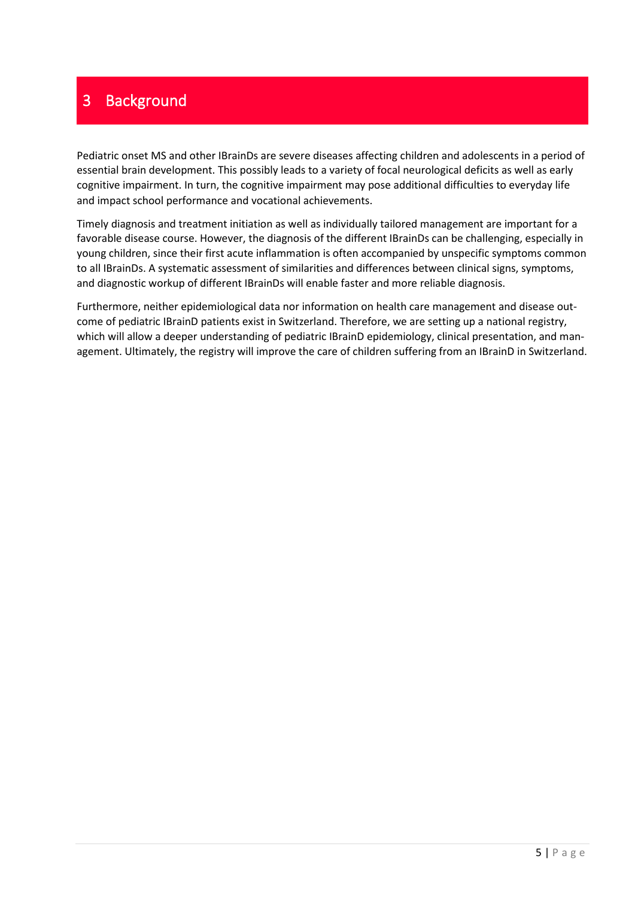## <span id="page-4-0"></span>3 Background

Pediatric onset MS and other IBrainDs are severe diseases affecting children and adolescents in a period of essential brain development. This possibly leads to a variety of focal neurological deficits as well as early cognitive impairment. In turn, the cognitive impairment may pose additional difficulties to everyday life and impact school performance and vocational achievements.

Timely diagnosis and treatment initiation as well as individually tailored management are important for a favorable disease course. However, the diagnosis of the different IBrainDs can be challenging, especially in young children, since their first acute inflammation is often accompanied by unspecific symptoms common to all IBrainDs. A systematic assessment of similarities and differences between clinical signs, symptoms, and diagnostic workup of different IBrainDs will enable faster and more reliable diagnosis.

Furthermore, neither epidemiological data nor information on health care management and disease outcome of pediatric IBrainD patients exist in Switzerland. Therefore, we are setting up a national registry, which will allow a deeper understanding of pediatric IBrainD epidemiology, clinical presentation, and management. Ultimately, the registry will improve the care of children suffering from an IBrainD in Switzerland.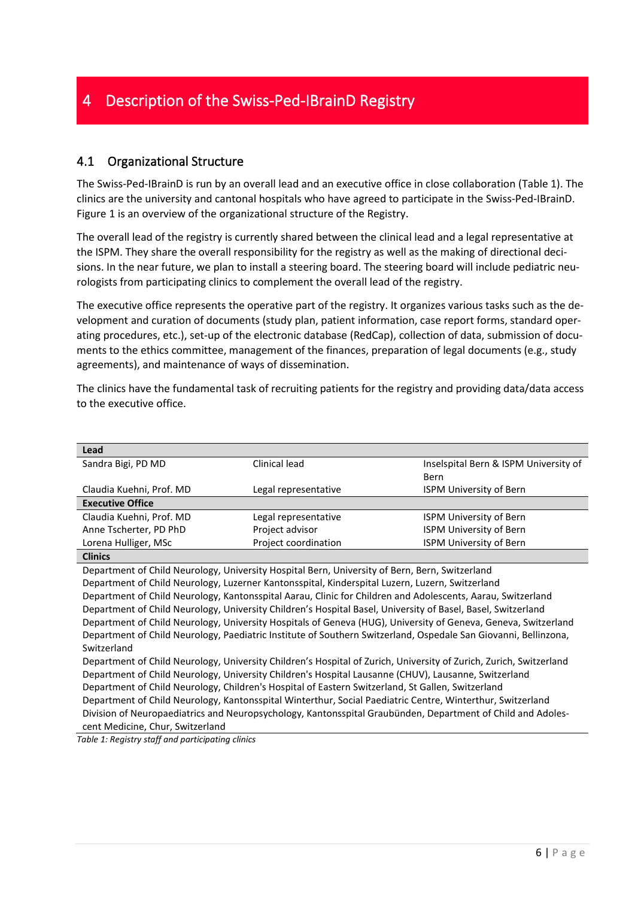## <span id="page-5-1"></span><span id="page-5-0"></span>4.1 Organizational Structure

The Swiss-Ped-IBrainD is run by an overall lead and an executive office in close collaboration (Table 1). The clinics are the university and cantonal hospitals who have agreed to participate in the Swiss-Ped-IBrainD. [Figure 1](#page-6-1) is an overview of the organizational structure of the Registry.

The overall lead of the registry is currently shared between the clinical lead and a legal representative at the ISPM. They share the overall responsibility for the registry as well as the making of directional decisions. In the near future, we plan to install a steering board. The steering board will include pediatric neurologists from participating clinics to complement the overall lead of the registry.

The executive office represents the operative part of the registry. It organizes various tasks such as the development and curation of documents (study plan, patient information, case report forms, standard operating procedures, etc.), set-up of the electronic database (RedCap), collection of data, submission of documents to the ethics committee, management of the finances, preparation of legal documents (e.g., study agreements), and maintenance of ways of dissemination.

The clinics have the fundamental task of recruiting patients for the registry and providing data/data access to the executive office.

| Lead                                                                                                               |                                                                                                             |                                       |  |  |  |  |
|--------------------------------------------------------------------------------------------------------------------|-------------------------------------------------------------------------------------------------------------|---------------------------------------|--|--|--|--|
| Sandra Bigi, PD MD                                                                                                 | Clinical lead                                                                                               | Inselspital Bern & ISPM University of |  |  |  |  |
|                                                                                                                    |                                                                                                             | Bern                                  |  |  |  |  |
| Claudia Kuehni, Prof. MD                                                                                           | Legal representative                                                                                        | <b>ISPM University of Bern</b>        |  |  |  |  |
| <b>Executive Office</b>                                                                                            |                                                                                                             |                                       |  |  |  |  |
| Claudia Kuehni, Prof. MD                                                                                           | Legal representative                                                                                        | <b>ISPM University of Bern</b>        |  |  |  |  |
| Anne Tscherter, PD PhD                                                                                             | Project advisor                                                                                             | <b>ISPM University of Bern</b>        |  |  |  |  |
| Lorena Hulliger, MSc                                                                                               | Project coordination                                                                                        | <b>ISPM University of Bern</b>        |  |  |  |  |
| <b>Clinics</b>                                                                                                     |                                                                                                             |                                       |  |  |  |  |
| Department of Child Neurology, University Hospital Bern, University of Bern, Bern, Switzerland                     |                                                                                                             |                                       |  |  |  |  |
| Department of Child Neurology, Luzerner Kantonsspital, Kinderspital Luzern, Luzern, Switzerland                    |                                                                                                             |                                       |  |  |  |  |
|                                                                                                                    | Department of Child Neurology, Kantonsspital Aarau, Clinic for Children and Adolescents, Aarau, Switzerland |                                       |  |  |  |  |
| Department of Child Neurology, University Children's Hospital Basel, University of Basel, Basel, Switzerland       |                                                                                                             |                                       |  |  |  |  |
| Department of Child Neurology, University Hospitals of Geneva (HUG), University of Geneva, Geneva, Switzerland     |                                                                                                             |                                       |  |  |  |  |
| Department of Child Neurology, Paediatric Institute of Southern Switzerland, Ospedale San Giovanni, Bellinzona,    |                                                                                                             |                                       |  |  |  |  |
| Switzerland                                                                                                        |                                                                                                             |                                       |  |  |  |  |
| Department of Child Neurology, University Children's Hospital of Zurich, University of Zurich, Zurich, Switzerland |                                                                                                             |                                       |  |  |  |  |
| Department of Child Neurology, University Children's Hospital Lausanne (CHUV), Lausanne, Switzerland               |                                                                                                             |                                       |  |  |  |  |
| Department of Child Neurology, Children's Hospital of Eastern Switzerland, St Gallen, Switzerland                  |                                                                                                             |                                       |  |  |  |  |
| Department of Child Neurology, Kantonsspital Winterthur, Social Paediatric Centre, Winterthur, Switzerland         |                                                                                                             |                                       |  |  |  |  |
| Division of Neuropaediatrics and Neuropsychology, Kantonsspital Graubünden, Department of Child and Adoles-        |                                                                                                             |                                       |  |  |  |  |
| cent Medicine, Chur, Switzerland                                                                                   |                                                                                                             |                                       |  |  |  |  |
| $\tau$ alela 1. Danistan, staff and nautisipation aligina                                                          |                                                                                                             |                                       |  |  |  |  |

*Table 1: Registry staff and participating clinics*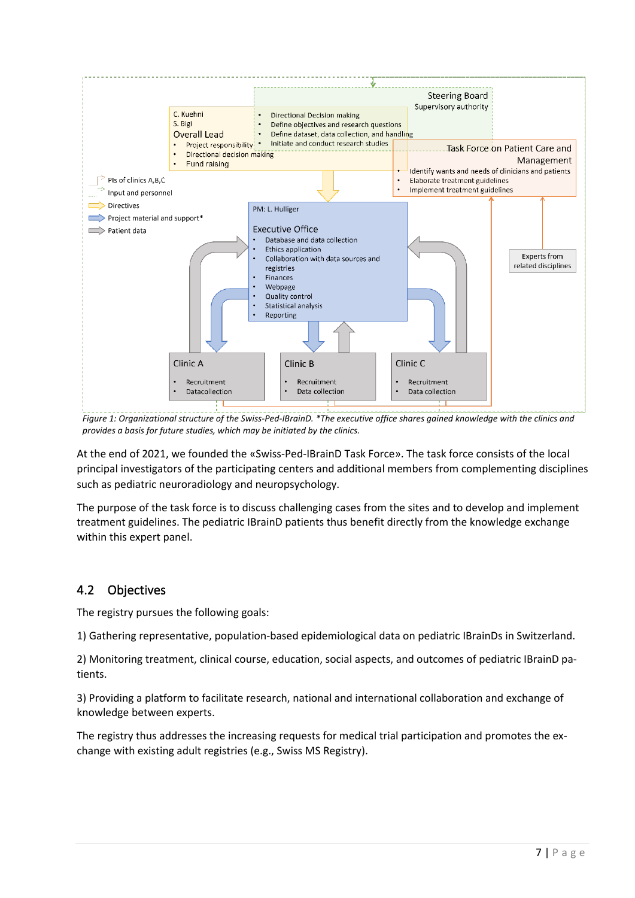

<span id="page-6-1"></span>*Figure 1: Organizational structure of the Swiss-Ped-IBrainD. \*The executive office shares gained knowledge with the clinics and provides a basis for future studies, which may be initiated by the clinics.*

At the end of 2021, we founded the «Swiss-Ped-IBrainD Task Force». The task force consists of the local principal investigators of the participating centers and additional members from complementing disciplines such as pediatric neuroradiology and neuropsychology.

The purpose of the task force is to discuss challenging cases from the sites and to develop and implement treatment guidelines. The pediatric IBrainD patients thus benefit directly from the knowledge exchange within this expert panel.

## <span id="page-6-0"></span>4.2 Objectives

The registry pursues the following goals:

1) Gathering representative, population-based epidemiological data on pediatric IBrainDs in Switzerland.

2) Monitoring treatment, clinical course, education, social aspects, and outcomes of pediatric IBrainD patients.

3) Providing a platform to facilitate research, national and international collaboration and exchange of knowledge between experts.

The registry thus addresses the increasing requests for medical trial participation and promotes the exchange with existing adult registries (e.g., Swiss MS Registry).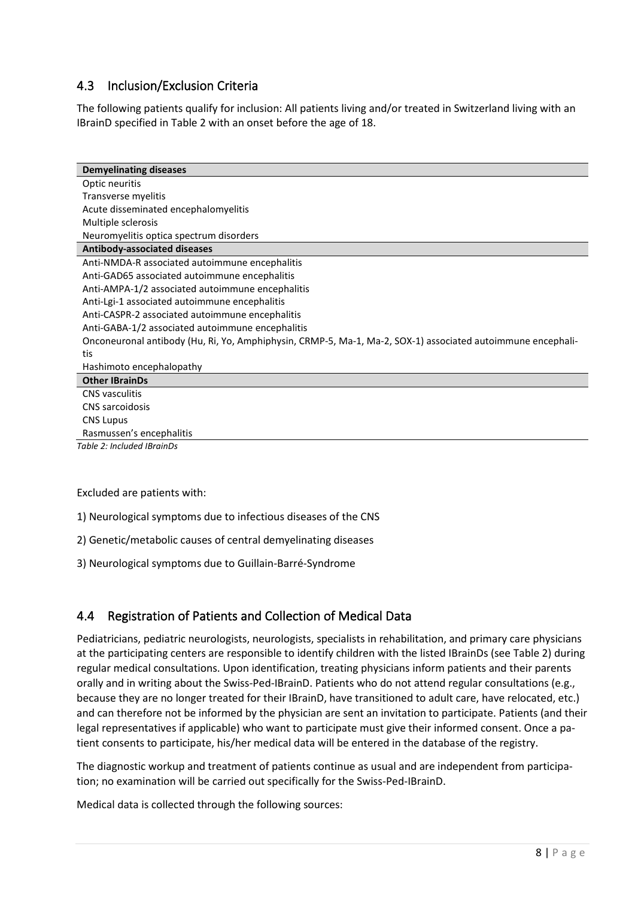## <span id="page-7-0"></span>4.3 Inclusion/Exclusion Criteria

The following patients qualify for inclusion: All patients living and/or treated in Switzerland living with an IBrainD specified in Table 2 with an onset before the age of 18.

| <b>Demyelinating diseases</b>                                                                               |  |  |  |  |
|-------------------------------------------------------------------------------------------------------------|--|--|--|--|
| Optic neuritis                                                                                              |  |  |  |  |
| Transverse myelitis                                                                                         |  |  |  |  |
| Acute disseminated encephalomyelitis                                                                        |  |  |  |  |
| Multiple sclerosis                                                                                          |  |  |  |  |
| Neuromyelitis optica spectrum disorders                                                                     |  |  |  |  |
| Antibody-associated diseases                                                                                |  |  |  |  |
| Anti-NMDA-R associated autoimmune encephalitis                                                              |  |  |  |  |
| Anti-GAD65 associated autoimmune encephalitis                                                               |  |  |  |  |
| Anti-AMPA-1/2 associated autoimmune encephalitis                                                            |  |  |  |  |
| Anti-Lgi-1 associated autoimmune encephalitis                                                               |  |  |  |  |
| Anti-CASPR-2 associated autoimmune encephalitis                                                             |  |  |  |  |
| Anti-GABA-1/2 associated autoimmune encephalitis                                                            |  |  |  |  |
| Onconeuronal antibody (Hu, Ri, Yo, Amphiphysin, CRMP-5, Ma-1, Ma-2, SOX-1) associated autoimmune encephali- |  |  |  |  |
| tis                                                                                                         |  |  |  |  |
| Hashimoto encephalopathy                                                                                    |  |  |  |  |
| <b>Other IBrainDs</b>                                                                                       |  |  |  |  |
| <b>CNS</b> vasculitis                                                                                       |  |  |  |  |
| CNS sarcoidosis                                                                                             |  |  |  |  |
| <b>CNS Lupus</b>                                                                                            |  |  |  |  |
| Rasmussen's encephalitis                                                                                    |  |  |  |  |

*Table 2: Included IBrainDs*

#### Excluded are patients with:

- 1) Neurological symptoms due to infectious diseases of the CNS
- 2) Genetic/metabolic causes of central demyelinating diseases
- 3) Neurological symptoms due to Guillain-Barré-Syndrome

## <span id="page-7-1"></span>4.4 Registration of Patients and Collection of Medical Data

Pediatricians, pediatric neurologists, neurologists, specialists in rehabilitation, and primary care physicians at the participating centers are responsible to identify children with the listed IBrainDs (see Table 2) during regular medical consultations. Upon identification, treating physicians inform patients and their parents orally and in writing about the Swiss-Ped-IBrainD. Patients who do not attend regular consultations (e.g., because they are no longer treated for their IBrainD, have transitioned to adult care, have relocated, etc.) and can therefore not be informed by the physician are sent an invitation to participate. Patients (and their legal representatives if applicable) who want to participate must give their informed consent. Once a patient consents to participate, his/her medical data will be entered in the database of the registry.

The diagnostic workup and treatment of patients continue as usual and are independent from participation; no examination will be carried out specifically for the Swiss-Ped-IBrainD.

Medical data is collected through the following sources: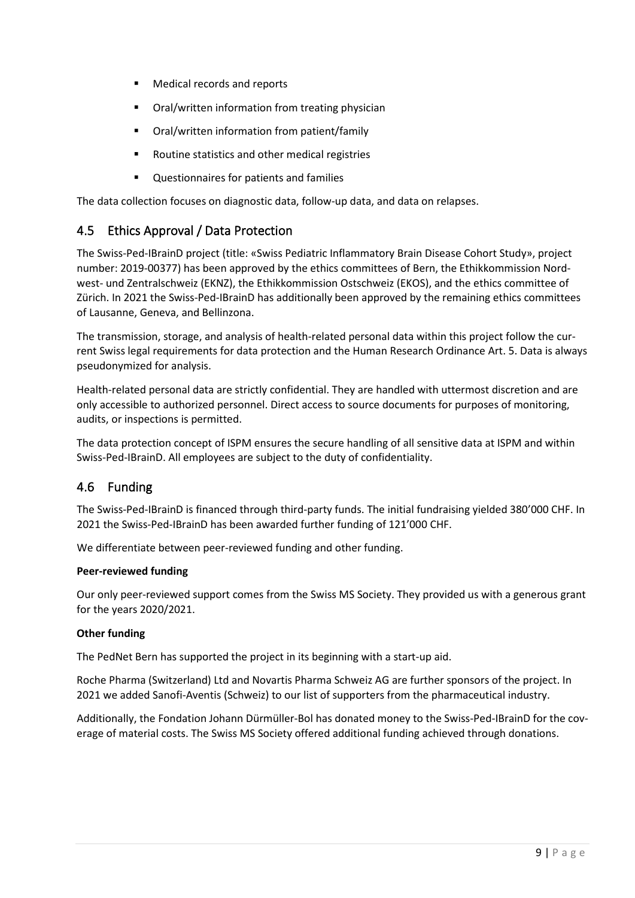- Medical records and reports
- Oral/written information from treating physician
- Oral/written information from patient/family
- Routine statistics and other medical registries
- Questionnaires for patients and families

The data collection focuses on diagnostic data, follow-up data, and data on relapses.

## <span id="page-8-0"></span>4.5 Ethics Approval / Data Protection

The Swiss-Ped-IBrainD project (title: «Swiss Pediatric Inflammatory Brain Disease Cohort Study», project number: 2019-00377) has been approved by the ethics committees of Bern, the Ethikkommission Nordwest- und Zentralschweiz (EKNZ), the Ethikkommission Ostschweiz (EKOS), and the ethics committee of Zürich. In 2021 the Swiss-Ped-IBrainD has additionally been approved by the remaining ethics committees of Lausanne, Geneva, and Bellinzona.

The transmission, storage, and analysis of health-related personal data within this project follow the current Swiss legal requirements for data protection and the Human Research Ordinance Art. 5. Data is always pseudonymized for analysis.

Health-related personal data are strictly confidential. They are handled with uttermost discretion and are only accessible to authorized personnel. Direct access to source documents for purposes of monitoring, audits, or inspections is permitted.

The data protection concept of ISPM ensures the secure handling of all sensitive data at ISPM and within Swiss-Ped-IBrainD. All employees are subject to the duty of confidentiality.

## <span id="page-8-1"></span>4.6 Funding

The Swiss-Ped-IBrainD is financed through third-party funds. The initial fundraising yielded 380'000 CHF. In 2021 the Swiss-Ped-IBrainD has been awarded further funding of 121'000 CHF.

We differentiate between peer-reviewed funding and other funding.

### **Peer-reviewed funding**

Our only peer-reviewed support comes from the Swiss MS Society. They provided us with a generous grant for the years 2020/2021.

### **Other funding**

The PedNet Bern has supported the project in its beginning with a start-up aid.

Roche Pharma (Switzerland) Ltd and Novartis Pharma Schweiz AG are further sponsors of the project. In 2021 we added Sanofi-Aventis (Schweiz) to our list of supporters from the pharmaceutical industry.

Additionally, the Fondation Johann Dürmüller-Bol has donated money to the Swiss-Ped-IBrainD for the coverage of material costs. The Swiss MS Society offered additional funding achieved through donations.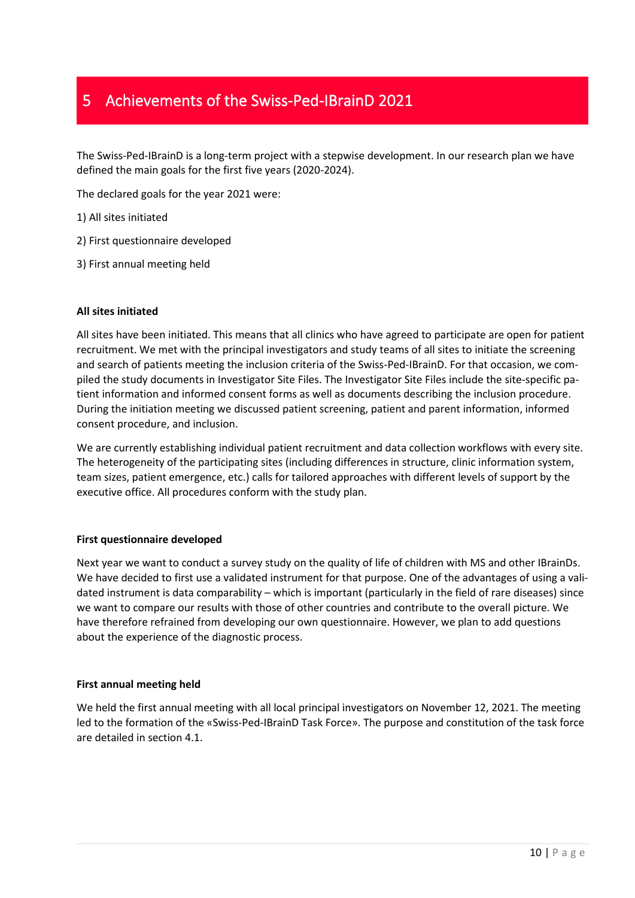## <span id="page-9-0"></span>5 Achievements of the Swiss-Ped-IBrainD 2021

The Swiss-Ped-IBrainD is a long-term project with a stepwise development. In our research plan we have defined the main goals for the first five years (2020-2024).

The declared goals for the year 2021 were:

1) All sites initiated

- 2) First questionnaire developed
- 3) First annual meeting held

### **All sites initiated**

All sites have been initiated. This means that all clinics who have agreed to participate are open for patient recruitment. We met with the principal investigators and study teams of all sites to initiate the screening and search of patients meeting the inclusion criteria of the Swiss-Ped-IBrainD. For that occasion, we compiled the study documents in Investigator Site Files. The Investigator Site Files include the site-specific patient information and informed consent forms as well as documents describing the inclusion procedure. During the initiation meeting we discussed patient screening, patient and parent information, informed consent procedure, and inclusion.

We are currently establishing individual patient recruitment and data collection workflows with every site. The heterogeneity of the participating sites (including differences in structure, clinic information system, team sizes, patient emergence, etc.) calls for tailored approaches with different levels of support by the executive office. All procedures conform with the study plan.

#### **First questionnaire developed**

Next year we want to conduct a survey study on the quality of life of children with MS and other IBrainDs. We have decided to first use a validated instrument for that purpose. One of the advantages of using a validated instrument is data comparability – which is important (particularly in the field of rare diseases) since we want to compare our results with those of other countries and contribute to the overall picture. We have therefore refrained from developing our own questionnaire. However, we plan to add questions about the experience of the diagnostic process.

#### **First annual meeting held**

We held the first annual meeting with all local principal investigators on November 12, 2021. The meeting led to the formation of the «Swiss-Ped-IBrainD Task Force». The purpose and constitution of the task force are detailed in section [4.1.](#page-5-1)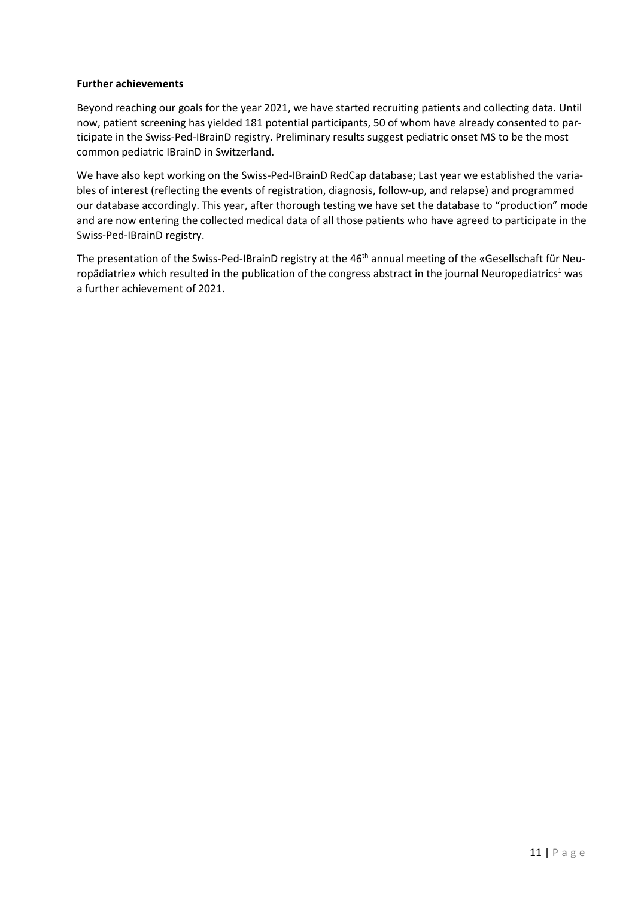### **Further achievements**

Beyond reaching our goals for the year 2021, we have started recruiting patients and collecting data. Until now, patient screening has yielded 181 potential participants, 50 of whom have already consented to participate in the Swiss-Ped-IBrainD registry. Preliminary results suggest pediatric onset MS to be the most common pediatric IBrainD in Switzerland.

We have also kept working on the Swiss-Ped-IBrainD RedCap database; Last year we established the variables of interest (reflecting the events of registration, diagnosis, follow-up, and relapse) and programmed our database accordingly. This year, after thorough testing we have set the database to "production" mode and are now entering the collected medical data of all those patients who have agreed to participate in the Swiss-Ped-IBrainD registry.

The presentation of the Swiss-Ped-IBrainD registry at the 46<sup>th</sup> annual meeting of the «Gesellschaft für Neuropädiatrie» which resulted in the publication of the congress abstract in the journal Neuropediatrics<sup>1</sup> was a further achievement of 2021.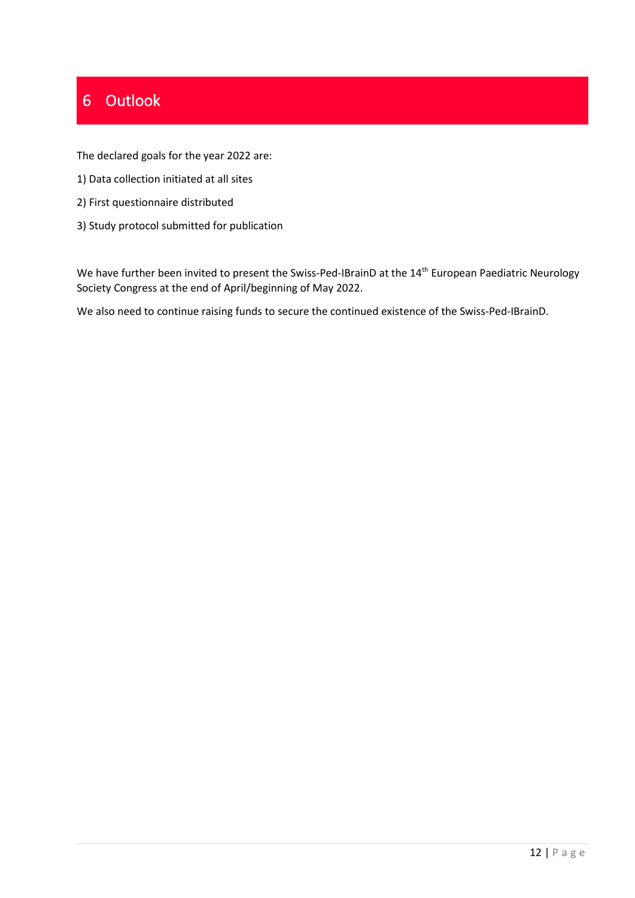## <span id="page-11-0"></span>6 Outlook

The declared goals for the year 2022 are:

- 1) Data collection initiated at all sites
- 2) First questionnaire distributed
- 3) Study protocol submitted for publication

We have further been invited to present the Swiss-Ped-IBrainD at the 14<sup>th</sup> European Paediatric Neurology Society Congress at the end of April/beginning of May 2022.

We also need to continue raising funds to secure the continued existence of the Swiss-Ped-IBrainD.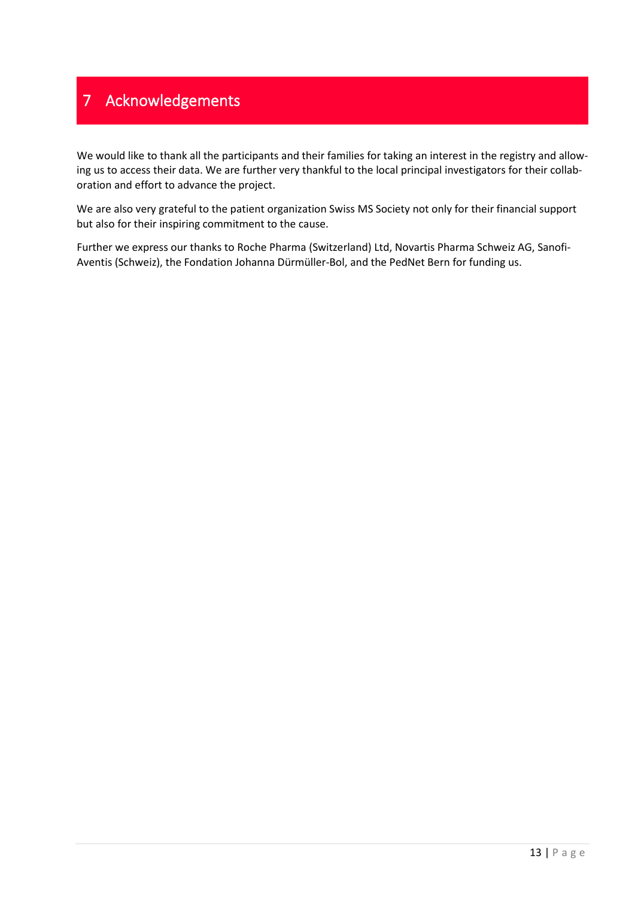## <span id="page-12-0"></span>7 Acknowledgements

We would like to thank all the participants and their families for taking an interest in the registry and allowing us to access their data. We are further very thankful to the local principal investigators for their collaboration and effort to advance the project.

We are also very grateful to the patient organization Swiss MS Society not only for their financial support but also for their inspiring commitment to the cause.

Further we express our thanks to Roche Pharma (Switzerland) Ltd, Novartis Pharma Schweiz AG, Sanofi-Aventis (Schweiz), the Fondation Johanna Dürmüller-Bol, and the PedNet Bern for funding us.